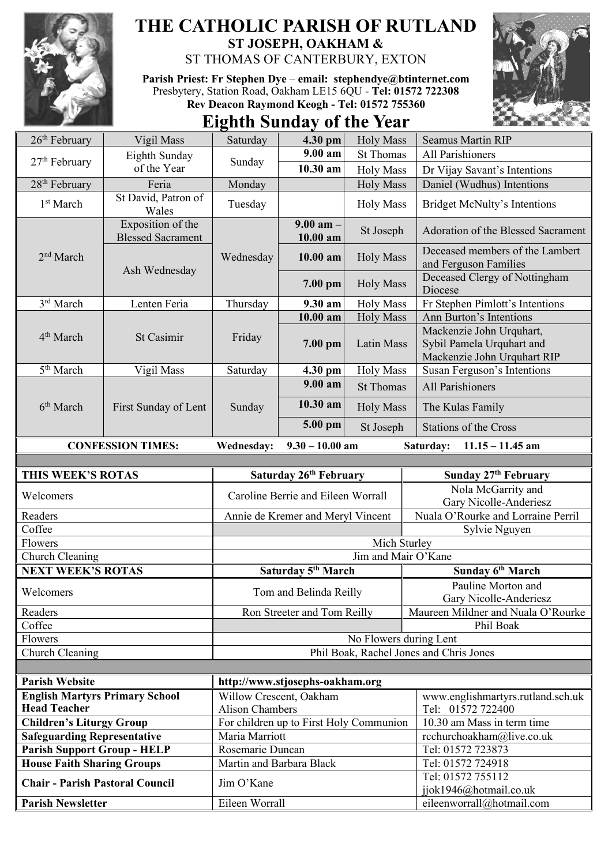

## **THE CATHOLIC PARISH OF RUTLAND ST JOSEPH, OAKHAM &**

ST THOMAS OF CANTERBURY, EXTON

**Parish Priest: Fr Stephen Dye** – **[email: stephendye@btinternet.com](mailto:email:%20%20stephendye@btinternet.com)** Presbytery, Station Road, Oakham LE15 6QU - **Tel: 01572 722308 Rev Deacon Raymond Keogh - Tel: 01572 755360**



# **Eighth Sunday of the Year**

| $26th$ February                                                                                                                                                                                    | Vigil Mass                                    | Saturday                                                          | 4.30 pm                            | <b>Holy Mass</b>       | <b>Seamus Martin RIP</b>                                                             |  |
|----------------------------------------------------------------------------------------------------------------------------------------------------------------------------------------------------|-----------------------------------------------|-------------------------------------------------------------------|------------------------------------|------------------------|--------------------------------------------------------------------------------------|--|
|                                                                                                                                                                                                    | Eighth Sunday                                 |                                                                   | 9.00 am                            | <b>St Thomas</b>       | All Parishioners                                                                     |  |
| $27th$ February                                                                                                                                                                                    | of the Year                                   | Sunday                                                            | 10.30 am                           | <b>Holy Mass</b>       | Dr Vijay Savant's Intentions                                                         |  |
| 28 <sup>th</sup> February                                                                                                                                                                          | Feria                                         | Monday                                                            |                                    | <b>Holy Mass</b>       | Daniel (Wudhus) Intentions                                                           |  |
| 1 <sup>st</sup> March                                                                                                                                                                              | St David, Patron of<br>Wales                  | Tuesday                                                           |                                    | <b>Holy Mass</b>       | <b>Bridget McNulty's Intentions</b>                                                  |  |
| 2 <sup>nd</sup> March<br>3rd March<br>4 <sup>th</sup> March<br>5 <sup>th</sup> March<br>6 <sup>th</sup> March<br>THIS WEEK'S ROTAS<br>Welcomers<br>Readers<br>Coffee<br>Flowers<br>Church Cleaning | Exposition of the<br><b>Blessed Sacrament</b> |                                                                   | $9.00$ am $-$<br>10.00 am          | St Joseph              | Adoration of the Blessed Sacrament                                                   |  |
|                                                                                                                                                                                                    | Ash Wednesday                                 | Wednesday                                                         | $10.00$ am                         | <b>Holy Mass</b>       | Deceased members of the Lambert<br>and Ferguson Families                             |  |
|                                                                                                                                                                                                    |                                               |                                                                   | 7.00 pm                            | <b>Holy Mass</b>       | Deceased Clergy of Nottingham<br>Diocese                                             |  |
|                                                                                                                                                                                                    | Lenten Feria                                  | Thursday                                                          | 9.30 am                            | <b>Holy Mass</b>       | Fr Stephen Pimlott's Intentions                                                      |  |
|                                                                                                                                                                                                    |                                               |                                                                   | $10.00$ am                         | <b>Holy Mass</b>       | Ann Burton's Intentions                                                              |  |
|                                                                                                                                                                                                    | St Casimir                                    | Friday                                                            | 7.00 pm                            | Latin Mass             | Mackenzie John Urquhart,<br>Sybil Pamela Urquhart and<br>Mackenzie John Urquhart RIP |  |
|                                                                                                                                                                                                    | Vigil Mass                                    | Saturday                                                          | 4.30 pm                            | <b>Holy Mass</b>       | Susan Ferguson's Intentions                                                          |  |
|                                                                                                                                                                                                    |                                               |                                                                   | $9.00 a$ m                         | <b>St Thomas</b>       | <b>All Parishioners</b>                                                              |  |
|                                                                                                                                                                                                    | First Sunday of Lent                          | Sunday                                                            | 10.30 am                           | <b>Holy Mass</b>       | The Kulas Family                                                                     |  |
|                                                                                                                                                                                                    |                                               |                                                                   | 5.00 pm                            | St Joseph              | <b>Stations of the Cross</b>                                                         |  |
|                                                                                                                                                                                                    | <b>CONFESSION TIMES:</b>                      | <b>Wednesday:</b>                                                 | $9.30 - 10.00$ am                  |                        | Saturday:<br>$11.15 - 11.45$ am                                                      |  |
|                                                                                                                                                                                                    |                                               |                                                                   |                                    |                        |                                                                                      |  |
|                                                                                                                                                                                                    |                                               | Saturday 26th February                                            |                                    |                        | Sunday 27th February                                                                 |  |
|                                                                                                                                                                                                    |                                               |                                                                   | Caroline Berrie and Eileen Worrall |                        | Nola McGarrity and<br>Gary Nicolle-Anderiesz                                         |  |
|                                                                                                                                                                                                    |                                               | Annie de Kremer and Meryl Vincent                                 |                                    |                        | Nuala O'Rourke and Lorraine Perril                                                   |  |
|                                                                                                                                                                                                    |                                               |                                                                   |                                    |                        | Sylvie Nguyen                                                                        |  |
|                                                                                                                                                                                                    |                                               | Mich Sturley                                                      |                                    |                        |                                                                                      |  |
|                                                                                                                                                                                                    |                                               | Jim and Mair O'Kane                                               |                                    |                        |                                                                                      |  |
| <b>NEXT WEEK'S ROTAS</b>                                                                                                                                                                           |                                               |                                                                   | Saturday 5 <sup>th</sup> March     |                        | Sunday 6 <sup>th</sup> March                                                         |  |
| Welcomers                                                                                                                                                                                          |                                               | Tom and Belinda Reilly                                            |                                    |                        | Pauline Morton and<br>Gary Nicolle-Anderiesz                                         |  |
| Readers                                                                                                                                                                                            |                                               |                                                                   | Ron Streeter and Tom Reilly        |                        | Maureen Mildner and Nuala O'Rourke                                                   |  |
| Coffee                                                                                                                                                                                             |                                               |                                                                   |                                    |                        | Phil Boak                                                                            |  |
| Flowers                                                                                                                                                                                            |                                               |                                                                   |                                    | No Flowers during Lent |                                                                                      |  |
| Church Cleaning                                                                                                                                                                                    |                                               |                                                                   |                                    |                        | Phil Boak, Rachel Jones and Chris Jones                                              |  |
|                                                                                                                                                                                                    |                                               |                                                                   |                                    |                        |                                                                                      |  |
| <b>Parish Website</b>                                                                                                                                                                              |                                               |                                                                   | http://www.stjosephs-oakham.org    |                        |                                                                                      |  |
| <b>English Martyrs Primary School</b><br><b>Head Teacher</b>                                                                                                                                       |                                               | Willow Crescent, Oakham                                           |                                    |                        | www.englishmartyrs.rutland.sch.uk                                                    |  |
| <b>Children's Liturgy Group</b>                                                                                                                                                                    |                                               | <b>Alison Chambers</b><br>For children up to First Holy Communion |                                    |                        | Tel: 01572 722400<br>10.30 am Mass in term time                                      |  |
| <b>Safeguarding Representative</b>                                                                                                                                                                 |                                               | Maria Marriott                                                    |                                    |                        | rcchurchoakham@live.co.uk                                                            |  |
| <b>Parish Support Group - HELP</b>                                                                                                                                                                 |                                               | Rosemarie Duncan                                                  |                                    |                        | Tel: 01572 723873                                                                    |  |
| <b>House Faith Sharing Groups</b>                                                                                                                                                                  |                                               | Martin and Barbara Black                                          |                                    |                        | Tel: 01572 724918                                                                    |  |
| <b>Chair - Parish Pastoral Council</b>                                                                                                                                                             |                                               | Jim O'Kane                                                        |                                    |                        | Tel: 01572 755112                                                                    |  |
|                                                                                                                                                                                                    |                                               |                                                                   |                                    |                        | jjok1946@hotmail.co.uk                                                               |  |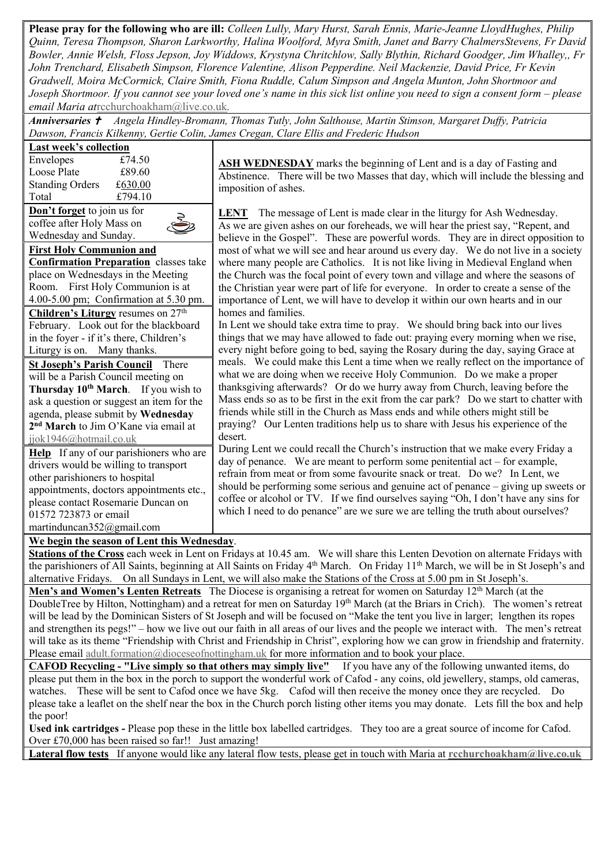**Please pray for the following who are ill:** *Colleen Lully, Mary Hurst, Sarah Ennis, Marie-Jeanne LloydHughes, Philip Quinn, Teresa Thompson, Sharon Larkworthy, Halina Woolford, Myra Smith, Janet and Barry ChalmersStevens, Fr David Bowler, Annie Welsh, Floss Jepson, Joy Widdows, Krystyna Chritchlow, Sally Blythin, Richard Goodger, Jim Whalley,, Fr John Trenchard, Elisabeth Simpson, Florence Valentine, Alison Pepperdine. Neil Mackenzie, David Price, Fr Kevin Gradwell, Moira McCormick, Claire Smith, Fiona Ruddle, Calum Simpson and Angela Munton, John Shortmoor and Joseph Shortmoor. If you cannot see your loved one's name in this sick list online you need to sign a consent form – please email Maria at*[rcchurchoakham@live.co.uk](mailto:rcchurchoakham@live.co.uk)*.*

*Anniversaries Angela Hindley-Bromann, Thomas Tutly, John Salthouse, Martin Stimson, Margaret Duffy, Patricia Dawson, Francis Kilkenny, Gertie Colin, James Cregan, Clare Ellis and Frederic Hudson*

| Last week's collection      |         |    |
|-----------------------------|---------|----|
| Envelopes                   | £74.50  |    |
| Loose Plate                 | £89.60  |    |
| <b>Standing Orders</b>      | £630.00 | ir |
| Total                       | £794.10 |    |
| Don't forget to join us for | L       |    |
| coffee after Holy Mass on   |         |    |
| Wednesday and Sunday.       |         | h١ |
|                             |         |    |

**First Holy Communion and Confirmation Preparation** classes take place on Wednesdays in the Meeting Room. First Holy Communion is at 4.00-5.00 pm; Confirmation at 5.30 pm. **Children's Liturgy** resumes on  $27<sup>th</sup>$ 

February. Look out for the blackboard in the foyer - if it's there, Children's Liturgy is on. Many thanks.

**St Joseph's Parish Council** There will be a Parish Council meeting on **Thursday 10th March**. If you wish to ask a question or suggest an item for the agenda, please submit by **Wednesday 2 nd March** to Jim O'Kane via email at [jjok1946@hotmail.co.uk](mailto:jjok1946@hotmail.co.uk)

**Help** If any of our parishioners who are drivers would be willing to transport other parishioners to hospital appointments, doctors appointments etc., please contact Rosemarie Duncan on 01572 723873 or email martinduncan352@gmail.com

**SH WEDNESDAY** marks the beginning of Lent and is a day of Fasting and Abstinence. There will be two Masses that day, which will include the blessing and mposition of ashes.

**LENT** The message of Lent is made clear in the liturgy for Ash Wednesday. as we are given ashes on our foreheads, we will hear the priest say, "Repent, and believe in the Gospel". These are powerful words. They are in direct opposition to most of what we will see and hear around us every day. We do not live in a society where many people are Catholics. It is not like living in Medieval England when the Church was the focal point of every town and village and where the seasons of the Christian year were part of life for everyone. In order to create a sense of the importance of Lent, we will have to develop it within our own hearts and in our homes and families.

In Lent we should take extra time to pray. We should bring back into our lives things that we may have allowed to fade out: praying every morning when we rise, every night before going to bed, saying the Rosary during the day, saying Grace at meals. We could make this Lent a time when we really reflect on the importance of what we are doing when we receive Holy Communion. Do we make a proper thanksgiving afterwards? Or do we hurry away from Church, leaving before the Mass ends so as to be first in the exit from the car park? Do we start to chatter with friends while still in the Church as Mass ends and while others might still be praying? Our Lenten traditions help us to share with Jesus his experience of the desert.

During Lent we could recall the Church's instruction that we make every Friday a day of penance. We are meant to perform some penitential act – for example, refrain from meat or from some favourite snack or treat. Do we? In Lent, we should be performing some serious and genuine act of penance – giving up sweets or coffee or alcohol or TV. If we find ourselves saying "Oh, I don't have any sins for which I need to do penance" are we sure we are telling the truth about ourselves?

#### **We begin the season of Lent this Wednesday**.

**Stations of the Cross** each week in Lent on Fridays at 10.45 am. We will share this Lenten Devotion on alternate Fridays with the parishioners of All Saints, beginning at All Saints on Friday 4<sup>th</sup> March. On Friday 11<sup>th</sup> March, we will be in St Joseph's and alternative Fridays. On all Sundays in Lent, we will also make the Stations of the Cross at 5.00 pm in St Joseph's.

**Men's and Women's Lenten Retreats** The Diocese is organising a retreat for women on Saturday 12<sup>th</sup> March (at the DoubleTree by Hilton, Nottingham) and a retreat for men on Saturday 19<sup>th</sup> March (at the Briars in Crich). The women's retreat will be lead by the Dominican Sisters of St Joseph and will be focused on "Make the tent you live in larger; lengthen its ropes and strengthen its pegs!" – how we live out our faith in all areas of our lives and the people we interact with. The men's retreat will take as its theme "Friendship with Christ and Friendship in Christ", exploring how we can grow in friendship and fraternity. Please email [adult.formation@dioceseofnottingham.uk](mailto:adult.formation@dioceseofnottingham.uk) for more information and to book your place.

**CAFOD Recycling - "Live simply so that others may simply live"** If you have any of the following unwanted items, do please put them in the box in the porch to support the wonderful work of Cafod - any coins, old jewellery, stamps, old cameras, watches. These will be sent to Cafod once we have 5kg. Cafod will then receive the money once they are recycled. Do please take a leaflet on the shelf near the box in the Church porch listing other items you may donate. Lets fill the box and help the poor!

**Used ink cartridges -** Please pop these in the little box labelled cartridges. They too are a great source of income for Cafod. Over £70,000 has been raised so far!! Just amazing!

**Lateral flow tests** If anyone would like any lateral flow tests, please get in touch with Maria at **[rcchurchoakham@live.co.uk](mailto:rcchurchoakham@live.co.uk)**